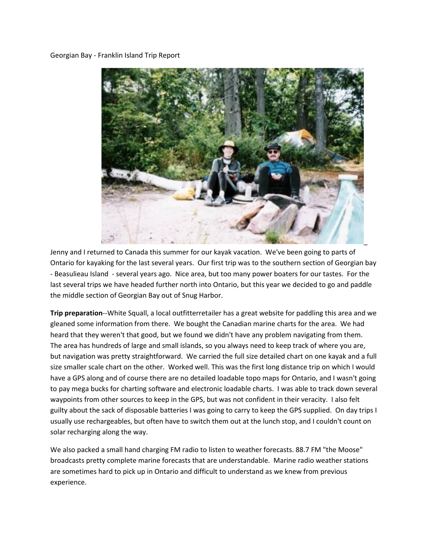## Georgian Bay - Franklin Island Trip Report



Jenny and I returned to Canada this summer for our kayak vacation. We've been going to parts of Ontario for kayaking for the last several years. Our first trip was to the southern section of Georgian bay - Beasulieau Island - several years ago. Nice area, but too many power boaters for our tastes. For the last several trips we have headed further north into Ontario, but this year we decided to go and paddle the middle section of Georgian Bay out of Snug Harbor.

**Trip preparation**--White Squall, a local outfitterretailer has a great website for paddling this area and we gleaned some information from there. We bought the Canadian marine charts for the area. We had heard that they weren't that good, but we found we didn't have any problem navigating from them. The area has hundreds of large and small islands, so you always need to keep track of where you are, but navigation was pretty straightforward. We carried the full size detailed chart on one kayak and a full size smaller scale chart on the other. Worked well. This was the first long distance trip on which I would have a GPS along and of course there are no detailed loadable topo maps for Ontario, and I wasn't going to pay mega bucks for charting software and electronic loadable charts. I was able to track down several waypoints from other sources to keep in the GPS, but was not confident in their veracity. I also felt guilty about the sack of disposable batteries I was going to carry to keep the GPS supplied. On day trips I usually use rechargeables, but often have to switch them out at the lunch stop, and I couldn't count on solar recharging along the way.

We also packed a small hand charging FM radio to listen to weather forecasts. 88.7 FM "the Moose" broadcasts pretty complete marine forecasts that are understandable. Marine radio weather stations are sometimes hard to pick up in Ontario and difficult to understand as we knew from previous experience.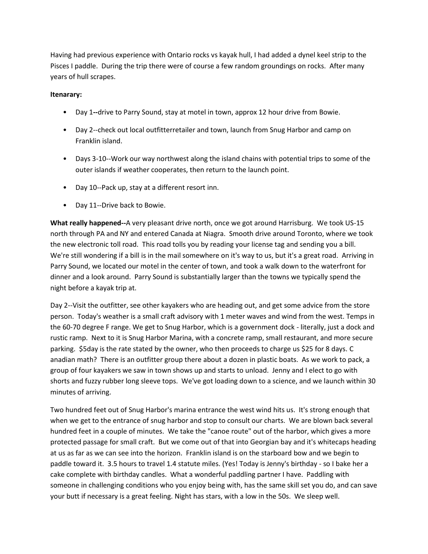Having had previous experience with Ontario rocks vs kayak hull, I had added a dynel keel strip to the Pisces I paddle. During the trip there were of course a few random groundings on rocks. After many years of hull scrapes.

## **Itenarary:**

- Day 1**--**drive to Parry Sound, stay at motel in town, approx 12 hour drive from Bowie.
- Day 2--check out local outfitterretailer and town, launch from Snug Harbor and camp on Franklin island.
- Days 3-10--Work our way northwest along the island chains with potential trips to some of the outer islands if weather cooperates, then return to the launch point.
- Day 10--Pack up, stay at a different resort inn.
- Day 11--Drive back to Bowie.

**What really happened--**A very pleasant drive north, once we got around Harrisburg. We took US-15 north through PA and NY and entered Canada at Niagra. Smooth drive around Toronto, where we took the new electronic toll road. This road tolls you by reading your license tag and sending you a bill. We're still wondering if a bill is in the mail somewhere on it's way to us, but it's a great road. Arriving in Parry Sound, we located our motel in the center of town, and took a walk down to the waterfront for dinner and a look around. Parry Sound is substantially larger than the towns we typically spend the night before a kayak trip at.

Day 2--Visit the outfitter, see other kayakers who are heading out, and get some advice from the store person. Today's weather is a small craft advisory with 1 meter waves and wind from the west. Temps in the 60-70 degree F range. We get to Snug Harbor, which is a government dock - literally, just a dock and rustic ramp. Next to it is Snug Harbor Marina, with a concrete ramp, small restaurant, and more secure parking. \$5day is the rate stated by the owner, who then proceeds to charge us \$25 for 8 days. C anadian math? There is an outfitter group there about a dozen in plastic boats. As we work to pack, a group of four kayakers we saw in town shows up and starts to unload. Jenny and I elect to go with shorts and fuzzy rubber long sleeve tops. We've got loading down to a science, and we launch within 30 minutes of arriving.

Two hundred feet out of Snug Harbor's marina entrance the west wind hits us. It's strong enough that when we get to the entrance of snug harbor and stop to consult our charts. We are blown back several hundred feet in a couple of minutes. We take the "canoe route" out of the harbor, which gives a more protected passage for small craft. But we come out of that into Georgian bay and it's whitecaps heading at us as far as we can see into the horizon. Franklin island is on the starboard bow and we begin to paddle toward it. 3.5 hours to travel 1.4 statute miles. (Yes! Today is Jenny's birthday - so I bake her a cake complete with birthday candles. What a wonderful paddling partner I have. Paddling with someone in challenging conditions who you enjoy being with, has the same skill set you do, and can save your butt if necessary is a great feeling. Night has stars, with a low in the 50s. We sleep well.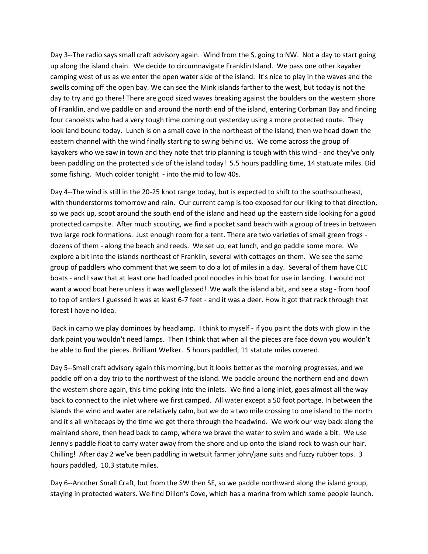Day 3--The radio says small craft advisory again. Wind from the S, going to NW. Not a day to start going up along the island chain. We decide to circumnavigate Franklin Island. We pass one other kayaker camping west of us as we enter the open water side of the island. It's nice to play in the waves and the swells coming off the open bay. We can see the Mink islands farther to the west, but today is not the day to try and go there! There are good sized waves breaking against the boulders on the western shore of Franklin, and we paddle on and around the north end of the island, entering Corbman Bay and finding four canoeists who had a very tough time coming out yesterday using a more protected route. They look land bound today. Lunch is on a small cove in the northeast of the island, then we head down the eastern channel with the wind finally starting to swing behind us. We come across the group of kayakers who we saw in town and they note that trip planning is tough with this wind - and they've only been paddling on the protected side of the island today! 5.5 hours paddling time, 14 statuate miles. Did some fishing. Much colder tonight - into the mid to low 40s.

Day 4--The wind is still in the 20-25 knot range today, but is expected to shift to the southsoutheast, with thunderstorms tomorrow and rain. Our current camp is too exposed for our liking to that direction, so we pack up, scoot around the south end of the island and head up the eastern side looking for a good protected campsite. After much scouting, we find a pocket sand beach with a group of trees in between two large rock formations. Just enough room for a tent. There are two varieties of small green frogs dozens of them - along the beach and reeds. We set up, eat lunch, and go paddle some more. We explore a bit into the islands northeast of Franklin, several with cottages on them. We see the same group of paddlers who comment that we seem to do a lot of miles in a day. Several of them have CLC boats - and I saw that at least one had loaded pool noodles in his boat for use in landing. I would not want a wood boat here unless it was well glassed! We walk the island a bit, and see a stag - from hoof to top of antlers I guessed it was at least 6-7 feet - and it was a deer. How it got that rack through that forest I have no idea.

Back in camp we play dominoes by headlamp. I think to myself - if you paint the dots with glow in the dark paint you wouldn't need lamps. Then I think that when all the pieces are face down you wouldn't be able to find the pieces. Brilliant Welker. 5 hours paddled, 11 statute miles covered.

Day 5--Small craft advisory again this morning, but it looks better as the morning progresses, and we paddle off on a day trip to the northwest of the island. We paddle around the northern end and down the western shore again, this time poking into the inlets. We find a long inlet, goes almost all the way back to connect to the inlet where we first camped. All water except a 50 foot portage. In between the islands the wind and water are relatively calm, but we do a two mile crossing to one island to the north and it's all whitecaps by the time we get there through the headwind. We work our way back along the mainland shore, then head back to camp, where we brave the water to swim and wade a bit. We use Jenny's paddle float to carry water away from the shore and up onto the island rock to wash our hair. Chilling! After day 2 we've been paddling in wetsuit farmer john/jane suits and fuzzy rubber tops. 3 hours paddled, 10.3 statute miles.

Day 6--Another Small Craft, but from the SW then SE, so we paddle northward along the island group, staying in protected waters. We find Dillon's Cove, which has a marina from which some people launch.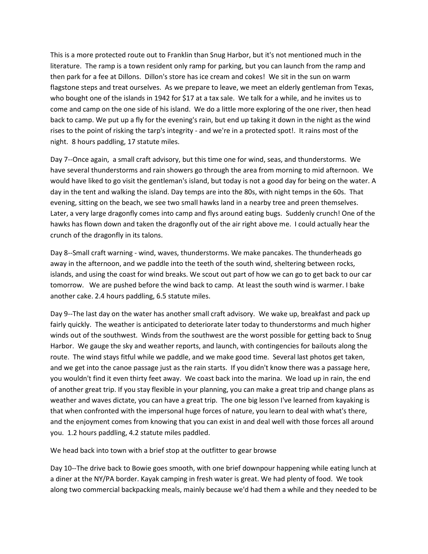This is a more protected route out to Franklin than Snug Harbor, but it's not mentioned much in the literature. The ramp is a town resident only ramp for parking, but you can launch from the ramp and then park for a fee at Dillons. Dillon's store has ice cream and cokes! We sit in the sun on warm flagstone steps and treat ourselves. As we prepare to leave, we meet an elderly gentleman from Texas, who bought one of the islands in 1942 for \$17 at a tax sale. We talk for a while, and he invites us to come and camp on the one side of his island. We do a little more exploring of the one river, then head back to camp. We put up a fly for the evening's rain, but end up taking it down in the night as the wind rises to the point of risking the tarp's integrity - and we're in a protected spot!. It rains most of the night. 8 hours paddling, 17 statute miles.

Day 7--Once again, a small craft advisory, but this time one for wind, seas, and thunderstorms. We have several thunderstorms and rain showers go through the area from morning to mid afternoon. We would have liked to go visit the gentleman's island, but today is not a good day for being on the water. A day in the tent and walking the island. Day temps are into the 80s, with night temps in the 60s. That evening, sitting on the beach, we see two small hawks land in a nearby tree and preen themselves. Later, a very large dragonfly comes into camp and flys around eating bugs. Suddenly crunch! One of the hawks has flown down and taken the dragonfly out of the air right above me. I could actually hear the crunch of the dragonfly in its talons.

Day 8--Small craft warning - wind, waves, thunderstorms. We make pancakes. The thunderheads go away in the afternoon, and we paddle into the teeth of the south wind, sheltering between rocks, islands, and using the coast for wind breaks. We scout out part of how we can go to get back to our car tomorrow. We are pushed before the wind back to camp. At least the south wind is warmer. I bake another cake. 2.4 hours paddling, 6.5 statute miles.

Day 9--The last day on the water has another small craft advisory. We wake up, breakfast and pack up fairly quickly. The weather is anticipated to deteriorate later today to thunderstorms and much higher winds out of the southwest. Winds from the southwest are the worst possible for getting back to Snug Harbor. We gauge the sky and weather reports, and launch, with contingencies for bailouts along the route. The wind stays fitful while we paddle, and we make good time. Several last photos get taken, and we get into the canoe passage just as the rain starts. If you didn't know there was a passage here, you wouldn't find it even thirty feet away. We coast back into the marina. We load up in rain, the end of another great trip. If you stay flexible in your planning, you can make a great trip and change plans as weather and waves dictate, you can have a great trip. The one big lesson I've learned from kayaking is that when confronted with the impersonal huge forces of nature, you learn to deal with what's there, and the enjoyment comes from knowing that you can exist in and deal well with those forces all around you. 1.2 hours paddling, 4.2 statute miles paddled.

We head back into town with a brief stop at the outfitter to gear browse

Day 10--The drive back to Bowie goes smooth, with one brief downpour happening while eating lunch at a diner at the NY/PA border. Kayak camping in fresh water is great. We had plenty of food. We took along two commercial backpacking meals, mainly because we'd had them a while and they needed to be